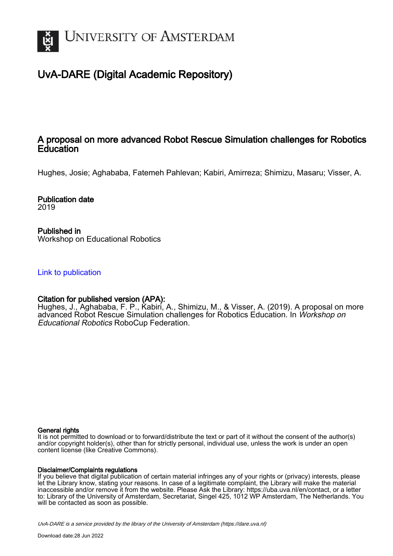

## UvA-DARE (Digital Academic Repository)

### A proposal on more advanced Robot Rescue Simulation challenges for Robotics **Education**

Hughes, Josie; Aghababa, Fatemeh Pahlevan; Kabiri, Amirreza; Shimizu, Masaru; Visser, A.

Publication date 2019

Published in Workshop on Educational Robotics

[Link to publication](https://dare.uva.nl/personal/pure/en/publications/a-proposal-on-more-advanced-robot-rescue-simulation-challenges-for-robotics-education(1ddda249-28d3-4ca3-9c4b-6550627810dc).html)

#### Citation for published version (APA):

Hughes, J., Aghababa, F. P., Kabiri, A., Shimizu, M., & Visser, A. (2019). A proposal on more advanced Robot Rescue Simulation challenges for Robotics Education. In Workshop on Educational Robotics RoboCup Federation.

#### General rights

It is not permitted to download or to forward/distribute the text or part of it without the consent of the author(s) and/or copyright holder(s), other than for strictly personal, individual use, unless the work is under an open content license (like Creative Commons).

#### Disclaimer/Complaints regulations

If you believe that digital publication of certain material infringes any of your rights or (privacy) interests, please let the Library know, stating your reasons. In case of a legitimate complaint, the Library will make the material inaccessible and/or remove it from the website. Please Ask the Library: https://uba.uva.nl/en/contact, or a letter to: Library of the University of Amsterdam, Secretariat, Singel 425, 1012 WP Amsterdam, The Netherlands. You will be contacted as soon as possible.

UvA-DARE is a service provided by the library of the University of Amsterdam (http*s*://dare.uva.nl)